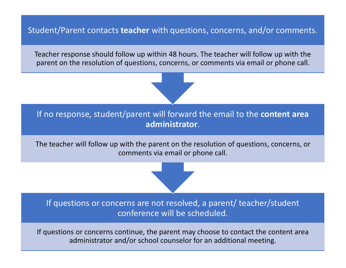Student/Parent contacts **teacher** with questions, concerns, and/or comments.

Teacher response should follow up within 48 hours. The teacher will follow up with the parent on the resolution of questions, concerns, or comments via email or phone call.



The teacher will follow up with the parent on the resolution of questions, concerns, or comments via email or phone call.

If questions or concerns are not resolved, a parent/ teacher/student conference will be scheduled.

If questions or concerns continue, the parent may choose to contact the content area administrator and/or school counselor for an additional meeting.